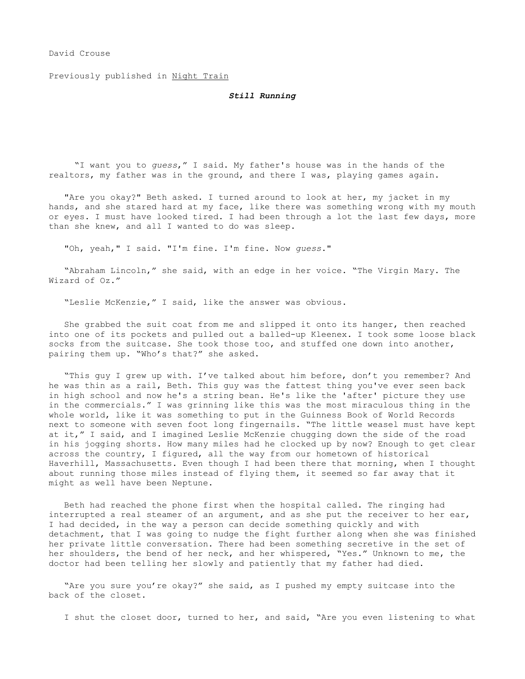## David Crouse

Previously published in Night Train

## *Still Running*

 "I want you to *guess*," I said. My father's house was in the hands of the realtors, my father was in the ground, and there I was, playing games again.

"Are you okay?" Beth asked. I turned around to look at her, my jacket in my hands, and she stared hard at my face, like there was something wrong with my mouth or eyes. I must have looked tired. I had been through a lot the last few days, more than she knew, and all I wanted to do was sleep.

"Oh, yeah," I said. "I'm fine. I'm fine. Now *guess*."

"Abraham Lincoln," she said, with an edge in her voice. "The Virgin Mary. The Wizard of Oz."

"Leslie McKenzie," I said, like the answer was obvious.

She grabbed the suit coat from me and slipped it onto its hanger, then reached into one of its pockets and pulled out a balled-up Kleenex. I took some loose black socks from the suitcase. She took those too, and stuffed one down into another, pairing them up. "Who's that?" she asked.

"This guy I grew up with. I've talked about him before, don't you remember? And he was thin as a rail, Beth. This guy was the fattest thing you've ever seen back in high school and now he's a string bean. He's like the 'after' picture they use in the commercials." I was grinning like this was the most miraculous thing in the whole world, like it was something to put in the Guinness Book of World Records next to someone with seven foot long fingernails. "The little weasel must have kept at it," I said, and I imagined Leslie McKenzie chugging down the side of the road in his jogging shorts. How many miles had he clocked up by now? Enough to get clear across the country, I figured, all the way from our hometown of historical Haverhill, Massachusetts. Even though I had been there that morning, when I thought about running those miles instead of flying them, it seemed so far away that it might as well have been Neptune.

Beth had reached the phone first when the hospital called. The ringing had interrupted a real steamer of an argument, and as she put the receiver to her ear, I had decided, in the way a person can decide something quickly and with detachment, that I was going to nudge the fight further along when she was finished her private little conversation. There had been something secretive in the set of her shoulders, the bend of her neck, and her whispered, "Yes." Unknown to me, the doctor had been telling her slowly and patiently that my father had died.

"Are you sure you're okay?" she said, as I pushed my empty suitcase into the back of the closet.

I shut the closet door, turned to her, and said, "Are you even listening to what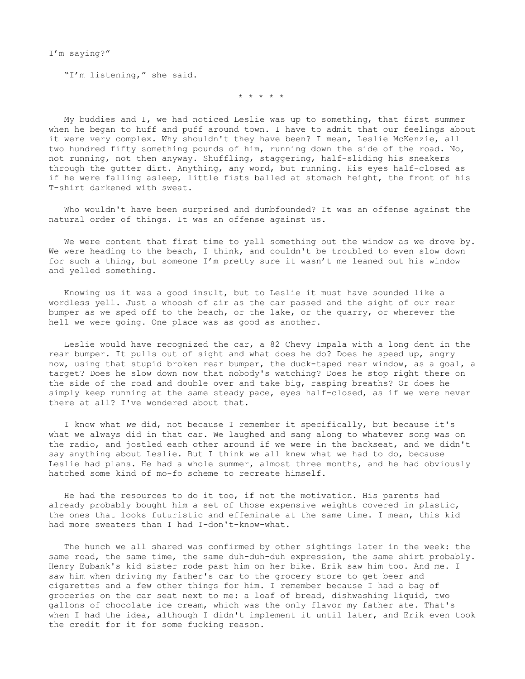I'm saying?"

"I'm listening," she said.

\* \* \* \* \*

My buddies and I, we had noticed Leslie was up to something, that first summer when he began to huff and puff around town. I have to admit that our feelings about it were very complex. Why shouldn't they have been? I mean, Leslie McKenzie, all two hundred fifty something pounds of him, running down the side of the road. No, not running, not then anyway. Shuffling, staggering, half-sliding his sneakers through the gutter dirt. Anything, any word, but running. His eyes half-closed as if he were falling asleep, little fists balled at stomach height, the front of his T-shirt darkened with sweat.

Who wouldn't have been surprised and dumbfounded? It was an offense against the natural order of things. It was an offense against us.

We were content that first time to yell something out the window as we drove by. We were heading to the beach, I think, and couldn't be troubled to even slow down for such a thing, but someone—I'm pretty sure it wasn't me—leaned out his window and yelled something.

Knowing us it was a good insult, but to Leslie it must have sounded like a wordless yell. Just a whoosh of air as the car passed and the sight of our rear bumper as we sped off to the beach, or the lake, or the quarry, or wherever the hell we were going. One place was as good as another.

Leslie would have recognized the car, a 82 Chevy Impala with a long dent in the rear bumper. It pulls out of sight and what does he do? Does he speed up, angry now, using that stupid broken rear bumper, the duck-taped rear window, as a goal, a target? Does he slow down now that nobody's watching? Does he stop right there on the side of the road and double over and take big, rasping breaths? Or does he simply keep running at the same steady pace, eyes half-closed, as if we were never there at all? I've wondered about that.

I know what *we* did, not because I remember it specifically, but because it's what we always did in that car. We laughed and sang along to whatever song was on the radio, and jostled each other around if we were in the backseat, and we didn't say anything about Leslie. But I think we all knew what we had to do, because Leslie had plans. He had a whole summer, almost three months, and he had obviously hatched some kind of mo-fo scheme to recreate himself.

He had the resources to do it too, if not the motivation. His parents had already probably bought him a set of those expensive weights covered in plastic, the ones that looks futuristic and effeminate at the same time. I mean, this kid had more sweaters than I had I-don't-know-what.

The hunch we all shared was confirmed by other sightings later in the week: the same road, the same time, the same duh-duh-duh expression, the same shirt probably. Henry Eubank's kid sister rode past him on her bike. Erik saw him too. And me. I saw him when driving my father's car to the grocery store to get beer and cigarettes and a few other things for him. I remember because I had a bag of groceries on the car seat next to me: a loaf of bread, dishwashing liquid, two gallons of chocolate ice cream, which was the only flavor my father ate. That's when I had the idea, although I didn't implement it until later, and Erik even took the credit for it for some fucking reason.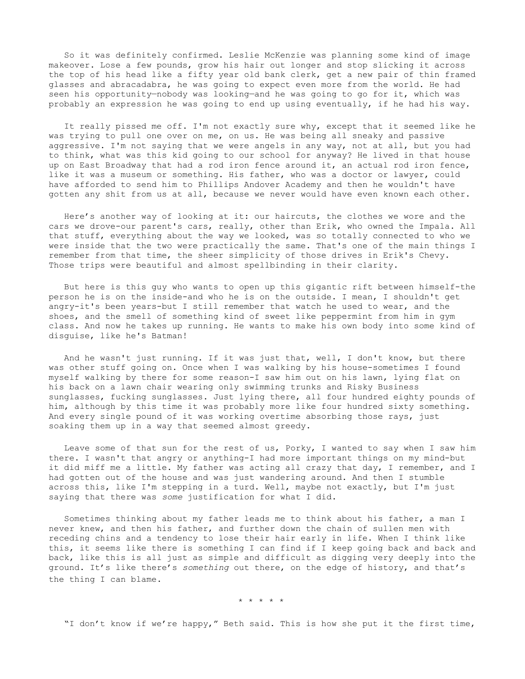So it was definitely confirmed. Leslie McKenzie was planning some kind of image makeover. Lose a few pounds, grow his hair out longer and stop slicking it across the top of his head like a fifty year old bank clerk, get a new pair of thin framed glasses and abracadabra, he was going to expect even more from the world. He had seen his opportunity-nobody was looking-and he was going to go for it, which was probably an expression he was going to end up using eventually, if he had his way.

It really pissed me off. I'm not exactly sure why, except that it seemed like he was trying to pull one over on me, on us. He was being all sneaky and passive aggressive. I'm not saying that we were angels in any way, not at all, but you had to think, what was this kid going to our school for anyway? He lived in that house up on East Broadway that had a rod iron fence around it, an actual rod iron fence, like it was a museum or something. His father, who was a doctor or lawyer, could have afforded to send him to Phillips Andover Academy and then he wouldn't have gotten any shit from us at all, because we never would have even known each other.

Here's another way of looking at it: our haircuts, the clothes we wore and the cars we drove-our parent's cars, really, other than Erik, who owned the Impala. All that stuff, everything about the way we looked, was so totally connected to who we were inside that the two were practically the same. That's one of the main things I remember from that time, the sheer simplicity of those drives in Erik's Chevy. Those trips were beautiful and almost spellbinding in their clarity.

But here is this guy who wants to open up this gigantic rift between himself-the person he is on the inside-and who he is on the outside. I mean, I shouldn't get angry-it's been years-but I still remember that watch he used to wear, and the shoes, and the smell of something kind of sweet like peppermint from him in gym class. And now he takes up running. He wants to make his own body into some kind of disguise, like he's Batman!

And he wasn't just running. If it was just that, well, I don't know, but there was other stuff going on. Once when I was walking by his house-sometimes I found myself walking by there for some reason-I saw him out on his lawn, lying flat on his back on a lawn chair wearing only swimming trunks and Risky Business sunglasses, fucking sunglasses. Just lying there, all four hundred eighty pounds of him, although by this time it was probably more like four hundred sixty something. And every single pound of it was working overtime absorbing those rays, just soaking them up in a way that seemed almost greedy.

Leave some of that sun for the rest of us, Porky, I wanted to say when I saw him there. I wasn't that angry or anything-I had more important things on my mind-but it did miff me a little. My father was acting all crazy that day, I remember, and I had gotten out of the house and was just wandering around. And then I stumble across this, like I'm stepping in a turd. Well, maybe not exactly, but I'm just saying that there was *some* justification for what I did.

Sometimes thinking about my father leads me to think about his father, a man I never knew, and then his father, and further down the chain of sullen men with receding chins and a tendency to lose their hair early in life. When I think like this, it seems like there is something I can find if I keep going back and back and back, like this is all just as simple and difficult as digging very deeply into the ground. It's like there's *something* out there, on the edge of history, and that's the thing I can blame.

\* \* \* \* \*

"I don't know if we're happy," Beth said. This is how she put it the first time,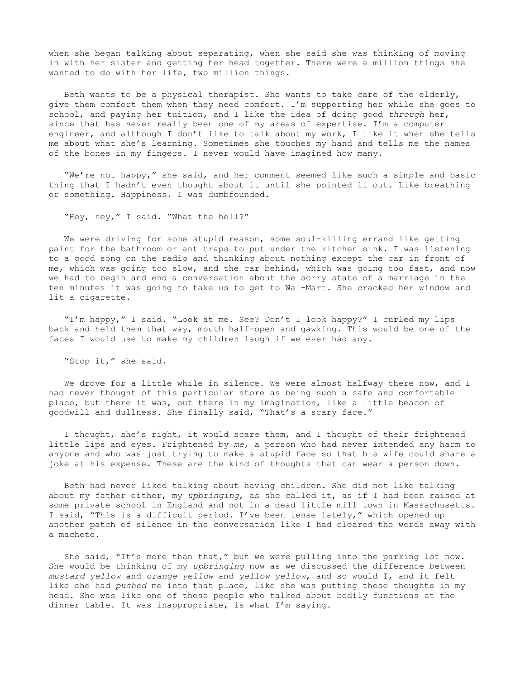when she began talking about separating, when she said she was thinking of moving in with her sister and getting her head together. There were a million things she wanted to do with her life, two million things.

Beth wants to be a physical therapist. She wants to take care of the elderly, give them comfort them when they need comfort. I'm supporting her while she goes to school, and paying her tuition, and I like the idea of doing good *through* her, since that has never really been one of my areas of expertise. I'm a computer engineer, and although I don't like to talk about my work, I like it when she tells me about what she's learning. Sometimes she touches my hand and tells me the names of the bones in my fingers. I never would have imagined how many.

"We're not happy," she said, and her comment seemed like such a simple and basic thing that I hadn't even thought about it until she pointed it out. Like breathing or something. Happiness. I was dumbfounded.

"Hey, hey," I said. "What the hell?"

We were driving for some stupid reason, some soul-killing errand like getting paint for the bathroom or ant traps to put under the kitchen sink. I was listening to a good song on the radio and thinking about nothing except the car in front of me, which was going too slow, and the car behind, which was going too fast, and now we had to begin and end a conversation about the sorry state of a marriage in the ten minutes it was going to take us to get to Wal-Mart. She cracked her window and lit a cigarette.

"I'm happy," I said. "Look at me. See? Don't I look happy?" I curled my lips back and held them that way, mouth half-open and gawking. This would be one of the faces I would use to make my children laugh if we ever had any.

"Stop it," she said.

We drove for a little while in silence. We were almost halfway there now, and I had never thought of this particular store as being such a safe and comfortable place, but there it was, out there in my imagination, like a little beacon of goodwill and dullness. She finally said, "That's a scary face."

I thought, she's right, it would scare them, and I thought of their frightened little lips and eyes. Frightened by *me*, a person who had never intended any harm to anyone and who was just trying to make a stupid face so that his wife could share a joke at his expense. These are the kind of thoughts that can wear a person down.

Beth had never liked talking about having children. She did not like talking about my father either, my *upbringing*, as she called it, as if I had been raised at some private school in England and not in a dead little mill town in Massachusetts. I said, "This is a difficult period. I've been tense lately," which opened up another patch of silence in the conversation like I had cleared the words away with a machete.

She said, "It's more than that," but we were pulling into the parking lot now. She would be thinking of my *upbringing* now as we discussed the difference between *mustard yellow* and *orange yellow* and *yellow yellow*, and so would I, and it felt like she had *pushed* me into that place, like she was putting these thoughts in my head. She was like one of these people who talked about bodily functions at the dinner table. It was inappropriate, is what I'm saying.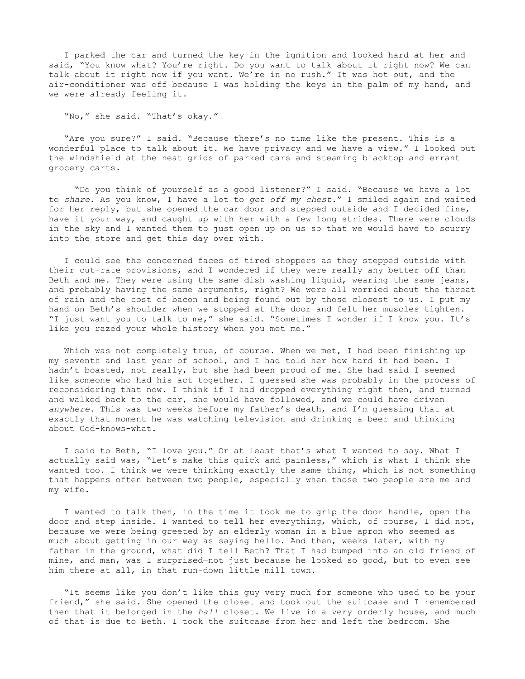I parked the car and turned the key in the ignition and looked hard at her and said, "You know what? You're right. Do you want to talk about it right now? We can talk about it right now if you want. We're in no rush." It was hot out, and the air-conditioner was off because I was holding the keys in the palm of my hand, and we were already feeling it.

"No," she said. "That's okay."

"Are you sure?" I said. "Because there's no time like the present. This is a wonderful place to talk about it. We have privacy and we have a view." I looked out the windshield at the neat grids of parked cars and steaming blacktop and errant grocery carts.

 "Do you think of yourself as a good listener?" I said. "Because we have a lot to *share*. As you know, I have a lot to *get off my chest*." I smiled again and waited for her reply, but she opened the car door and stepped outside and I decided fine, have it your way, and caught up with her with a few long strides. There were clouds in the sky and I wanted them to just open up on us so that we would have to scurry into the store and get this day over with.

I could see the concerned faces of tired shoppers as they stepped outside with their cut-rate provisions, and I wondered if they were really any better off than Beth and me. They were using the same dish washing liquid, wearing the same jeans, and probably having the same arguments, right? We were all worried about the threat of rain and the cost of bacon and being found out by those closest to us. I put my hand on Beth's shoulder when we stopped at the door and felt her muscles tighten. "I just want you to talk to me," she said. "Sometimes I wonder if I know you. It's like you razed your whole history when you met me."

Which was not completely true, of course. When we met, I had been finishing up my seventh and last year of school, and I had told her how hard it had been. I hadn't boasted, not really, but she had been proud of me. She had said I seemed like someone who had his act together. I guessed she was probably in the process of reconsidering that now. I think if I had dropped everything right then, and turned and walked back to the car, she would have followed, and we could have driven *anywhere*. This was two weeks before my father's death, and I'm guessing that at exactly that moment he was watching television and drinking a beer and thinking about God-knows-what.

I said to Beth, "I love you." Or at least that's what I wanted to say. What I actually said was, "Let's make this quick and painless," which is what I think she wanted too. I think we were thinking exactly the same thing, which is not something that happens often between two people, especially when those two people are me and my wife.

I wanted to talk then, in the time it took me to grip the door handle, open the door and step inside. I wanted to tell her everything, which, of course, I did not, because we were being greeted by an elderly woman in a blue apron who seemed as much about getting in our way as saying hello. And then, weeks later, with my father in the ground, what did I tell Beth? That I had bumped into an old friend of mine, and man, was I surprised—not just because he looked so good, but to even see him there at all, in that run-down little mill town.

"It seems like you don't like this guy very much for someone who used to be your friend," she said. She opened the closet and took out the suitcase and I remembered then that it belonged in the *hall* closet. We live in a very orderly house, and much of that is due to Beth. I took the suitcase from her and left the bedroom. She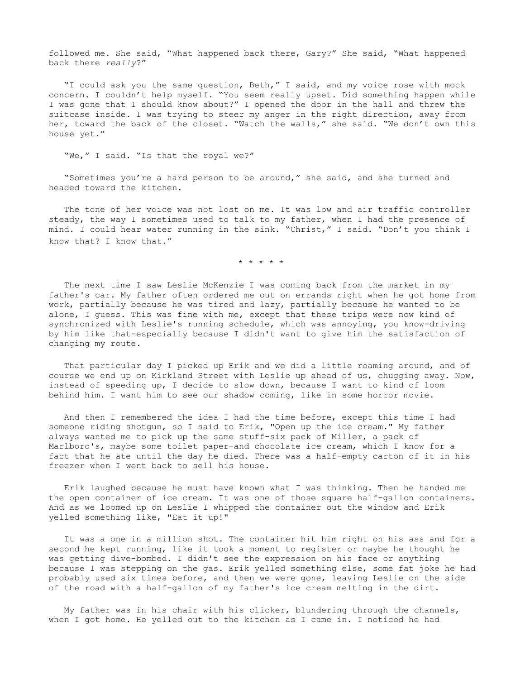followed me. She said, "What happened back there, Gary?" She said, "What happened back there *really*?"

"I could ask you the same question, Beth," I said, and my voice rose with mock concern. I couldn't help myself. "You seem really upset. Did something happen while I was gone that I should know about?" I opened the door in the hall and threw the suitcase inside. I was trying to steer my anger in the right direction, away from her, toward the back of the closet. "Watch the walls," she said. "We don't own this house yet."

"We," I said. "Is that the royal we?"

"Sometimes you're a hard person to be around," she said, and she turned and headed toward the kitchen.

The tone of her voice was not lost on me. It was low and air traffic controller steady, the way I sometimes used to talk to my father, when I had the presence of mind. I could hear water running in the sink. "Christ," I said. "Don't you think I know that? I know that."

\* \* \* \* \*

The next time I saw Leslie McKenzie I was coming back from the market in my father's car. My father often ordered me out on errands right when he got home from work, partially because he was tired and lazy, partially because he wanted to be alone, I guess. This was fine with me, except that these trips were now kind of synchronized with Leslie's running schedule, which was annoying, you know-driving by him like that-especially because I didn't want to give him the satisfaction of changing my route.

That particular day I picked up Erik and we did a little roaming around, and of course we end up on Kirkland Street with Leslie up ahead of us, chugging away. Now, instead of speeding up, I decide to slow down, because I want to kind of loom behind him. I want him to see our shadow coming, like in some horror movie.

And then I remembered the idea I had the time before, except this time I had someone riding shotgun, so I said to Erik, "Open up the ice cream." My father always wanted me to pick up the same stuff-six pack of Miller, a pack of Marlboro's, maybe some toilet paper-and chocolate ice cream, which I know for a fact that he ate until the day he died. There was a half-empty carton of it in his freezer when I went back to sell his house.

Erik laughed because he must have known what I was thinking. Then he handed me the open container of ice cream. It was one of those square half-gallon containers. And as we loomed up on Leslie I whipped the container out the window and Erik yelled something like, "Eat it up!"

It was a one in a million shot. The container hit him right on his ass and for a second he kept running, like it took a moment to register or maybe he thought he was getting dive-bombed. I didn't see the expression on his face or anything because I was stepping on the gas. Erik yelled something else, some fat joke he had probably used six times before, and then we were gone, leaving Leslie on the side of the road with a half-gallon of my father's ice cream melting in the dirt.

My father was in his chair with his clicker, blundering through the channels, when I got home. He yelled out to the kitchen as I came in. I noticed he had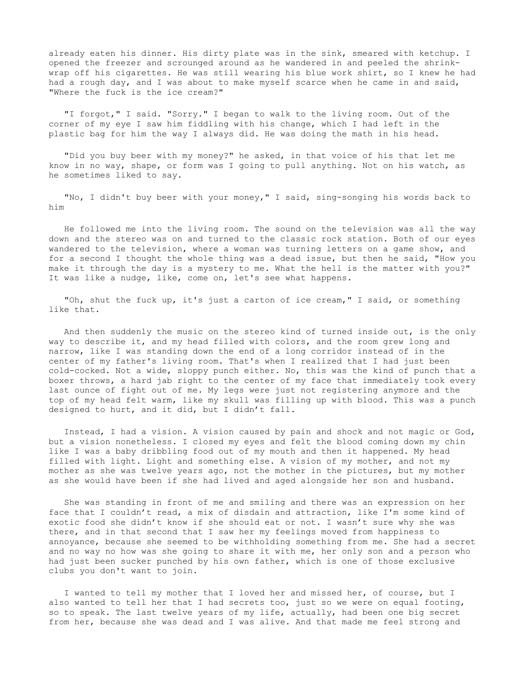already eaten his dinner. His dirty plate was in the sink, smeared with ketchup. I opened the freezer and scrounged around as he wandered in and peeled the shrinkwrap off his cigarettes. He was still wearing his blue work shirt, so I knew he had had a rough day, and I was about to make myself scarce when he came in and said, "Where the fuck is the ice cream?"

"I forgot," I said. "Sorry." I began to walk to the living room. Out of the corner of my eye I saw him fiddling with his change, which I had left in the plastic bag for him the way I always did. He was doing the math in his head.

"Did you buy beer with my money?" he asked, in that voice of his that let me know in no way, shape, or form was I going to pull anything. Not on his watch, as he sometimes liked to say.

"No, I didn't buy beer with your money," I said, sing-songing his words back to him

He followed me into the living room. The sound on the television was all the way down and the stereo was on and turned to the classic rock station. Both of our eyes wandered to the television, where a woman was turning letters on a game show, and for a second I thought the whole thing was a dead issue, but then he said, "How you make it through the day is a mystery to me. What the hell is the matter with you?" It was like a nudge, like, come on, let's see what happens.

"Oh, shut the fuck up, it's just a carton of ice cream," I said, or something like that.

And then suddenly the music on the stereo kind of turned inside out, is the only way to describe it, and my head filled with colors, and the room grew long and narrow, like I was standing down the end of a long corridor instead of in the center of my father's living room. That's when I realized that I had just been cold-cocked. Not a wide, sloppy punch either. No, this was the kind of punch that a boxer throws, a hard jab right to the center of my face that immediately took every last ounce of fight out of me. My legs were just not registering anymore and the top of my head felt warm, like my skull was filling up with blood. This was a punch designed to hurt, and it did, but I didn't fall.

Instead, I had a vision. A vision caused by pain and shock and not magic or God, but a vision nonetheless. I closed my eyes and felt the blood coming down my chin like I was a baby dribbling food out of my mouth and then it happened. My head filled with light. Light and something else. A vision of my mother, and not my mother as she was twelve years ago, not the mother in the pictures, but my mother as she would have been if she had lived and aged alongside her son and husband.

She was standing in front of me and smiling and there was an expression on her face that I couldn't read, a mix of disdain and attraction, like I'm some kind of exotic food she didn't know if she should eat or not. I wasn't sure why she was there, and in that second that I saw her my feelings moved from happiness to annoyance, because she seemed to be withholding something from me. She had a secret and no way no how was she going to share it with me, her only son and a person who had just been sucker punched by his own father, which is one of those exclusive clubs you don't want to join.

I wanted to tell my mother that I loved her and missed her, of course, but I also wanted to tell her that I had secrets too, just so we were on equal footing, so to speak. The last twelve years of my life, actually, had been one big secret from her, because she was dead and I was alive. And that made me feel strong and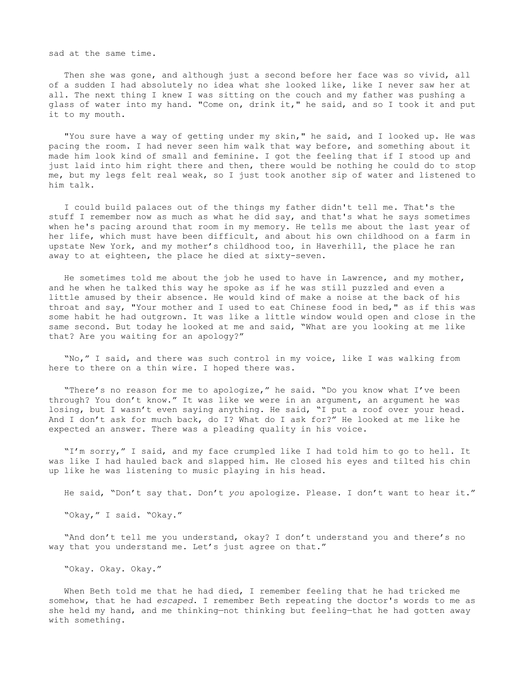sad at the same time.

Then she was gone, and although just a second before her face was so vivid, all of a sudden I had absolutely no idea what she looked like, like I never saw her at all. The next thing I knew I was sitting on the couch and my father was pushing a glass of water into my hand. "Come on, drink it," he said, and so I took it and put it to my mouth.

"You sure have a way of getting under my skin," he said, and I looked up. He was pacing the room. I had never seen him walk that way before, and something about it made him look kind of small and feminine. I got the feeling that if I stood up and just laid into him right there and then, there would be nothing he could do to stop me, but my legs felt real weak, so I just took another sip of water and listened to him talk.

I could build palaces out of the things my father didn't tell me. That's the stuff I remember now as much as what he did say, and that's what he says sometimes when he's pacing around that room in my memory. He tells me about the last year of her life, which must have been difficult, and about his own childhood on a farm in upstate New York, and my mother's childhood too, in Haverhill, the place he ran away to at eighteen, the place he died at sixty-seven.

He sometimes told me about the job he used to have in Lawrence, and my mother, and he when he talked this way he spoke as if he was still puzzled and even a little amused by their absence. He would kind of make a noise at the back of his throat and say, "Your mother and I used to eat Chinese food in bed," as if this was some habit he had outgrown. It was like a little window would open and close in the same second. But today he looked at me and said, "What are you looking at me like that? Are you waiting for an apology?"

"No," I said, and there was such control in my voice, like I was walking from here to there on a thin wire. I hoped there was.

"There's no reason for me to apologize," he said. "Do you know what I've been through? You don't know." It was like we were in an argument, an argument he was losing, but I wasn't even saying anything. He said, "I put a roof over your head. And I don't ask for much back, do I? What do I ask for?" He looked at me like he expected an answer. There was a pleading quality in his voice.

"I'm sorry," I said, and my face crumpled like I had told him to go to hell. It was like I had hauled back and slapped him. He closed his eyes and tilted his chin up like he was listening to music playing in his head.

He said, "Don't say that. Don't *you* apologize. Please. I don't want to hear it."

"Okay," I said. "Okay."

"And don't tell me you understand, okay? I don't understand you and there's no way that you understand me. Let's just agree on that."

"Okay. Okay. Okay."

When Beth told me that he had died, I remember feeling that he had tricked me somehow, that he had *escaped*. I remember Beth repeating the doctor's words to me as she held my hand, and me thinking—not thinking but feeling—that he had gotten away with something.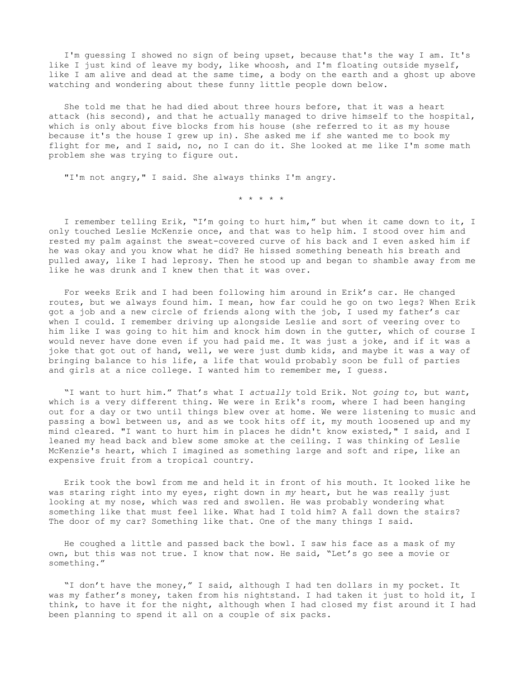I'm guessing I showed no sign of being upset, because that's the way I am. It's like I just kind of leave my body, like whoosh, and I'm floating outside myself, like I am alive and dead at the same time, a body on the earth and a ghost up above watching and wondering about these funny little people down below.

She told me that he had died about three hours before, that it was a heart attack (his second), and that he actually managed to drive himself to the hospital, which is only about five blocks from his house (she referred to it as my house because it's the house I grew up in). She asked me if she wanted me to book my flight for me, and I said, no, no I can do it. She looked at me like I'm some math problem she was trying to figure out.

"I'm not angry," I said. She always thinks I'm angry.

\* \* \* \* \*

I remember telling Erik, "I'm going to hurt him," but when it came down to it, I only touched Leslie McKenzie once, and that was to help him. I stood over him and rested my palm against the sweat-covered curve of his back and I even asked him if he was okay and you know what he did? He hissed something beneath his breath and pulled away, like I had leprosy. Then he stood up and began to shamble away from me like he was drunk and I knew then that it was over.

For weeks Erik and I had been following him around in Erik's car. He changed routes, but we always found him. I mean, how far could he go on two legs? When Erik got a job and a new circle of friends along with the job, I used my father's car when I could. I remember driving up alongside Leslie and sort of veering over to him like I was going to hit him and knock him down in the gutter, which of course I would never have done even if you had paid me. It was just a joke, and if it was a joke that got out of hand, well, we were just dumb kids, and maybe it was a way of bringing balance to his life, a life that would probably soon be full of parties and girls at a nice college. I wanted him to remember me, I guess.

"I want to hurt him." That's what I *actually* told Erik. Not *going to*, but *want*, which is a very different thing. We were in Erik's room, where I had been hanging out for a day or two until things blew over at home. We were listening to music and passing a bowl between us, and as we took hits off it, my mouth loosened up and my mind cleared. "I want to hurt him in places he didn't know existed," I said, and I leaned my head back and blew some smoke at the ceiling. I was thinking of Leslie McKenzie's heart, which I imagined as something large and soft and ripe, like an expensive fruit from a tropical country.

Erik took the bowl from me and held it in front of his mouth. It looked like he was staring right into my eyes, right down in *my* heart, but he was really just looking at my nose, which was red and swollen. He was probably wondering what something like that must feel like. What had I told him? A fall down the stairs? The door of my car? Something like that. One of the many things I said.

He coughed a little and passed back the bowl. I saw his face as a mask of my own, but this was not true. I know that now. He said, "Let's go see a movie or something."

"I don't have the money," I said, although I had ten dollars in my pocket. It was my father's money, taken from his nightstand. I had taken it just to hold it, I think, to have it for the night, although when I had closed my fist around it I had been planning to spend it all on a couple of six packs.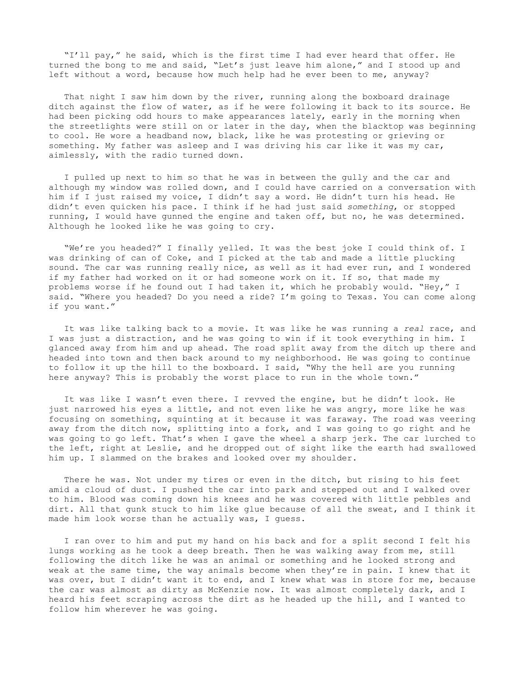"I'll pay," he said, which is the first time I had ever heard that offer. He turned the bong to me and said, "Let's just leave him alone," and I stood up and left without a word, because how much help had he ever been to me, anyway?

That night I saw him down by the river, running along the boxboard drainage ditch against the flow of water, as if he were following it back to its source. He had been picking odd hours to make appearances lately, early in the morning when the streetlights were still on or later in the day, when the blacktop was beginning to cool. He wore a headband now, black, like he was protesting or grieving or something. My father was asleep and I was driving his car like it was my car, aimlessly, with the radio turned down.

I pulled up next to him so that he was in between the gully and the car and although my window was rolled down, and I could have carried on a conversation with him if I just raised my voice, I didn't say a word. He didn't turn his head. He didn't even quicken his pace. I think if he had just said *something*, or stopped running, I would have gunned the engine and taken off, but no, he was determined. Although he looked like he was going to cry.

"We're you headed?" I finally yelled. It was the best joke I could think of. I was drinking of can of Coke, and I picked at the tab and made a little plucking sound. The car was running really nice, as well as it had ever run, and I wondered if my father had worked on it or had someone work on it. If so, that made my problems worse if he found out I had taken it, which he probably would. "Hey," I said. "Where you headed? Do you need a ride? I'm going to Texas. You can come along if you want."

It was like talking back to a movie. It was like he was running a *real* race, and I was just a distraction, and he was going to win if it took everything in him. I glanced away from him and up ahead. The road split away from the ditch up there and headed into town and then back around to my neighborhood. He was going to continue to follow it up the hill to the boxboard. I said, "Why the hell are you running here anyway? This is probably the worst place to run in the whole town."

It was like I wasn't even there. I revved the engine, but he didn't look. He just narrowed his eyes a little, and not even like he was angry, more like he was focusing on something, squinting at it because it was faraway. The road was veering away from the ditch now, splitting into a fork, and I was going to go right and he was going to go left. That's when I gave the wheel a sharp jerk. The car lurched to the left, right at Leslie, and he dropped out of sight like the earth had swallowed him up. I slammed on the brakes and looked over my shoulder.

There he was. Not under my tires or even in the ditch, but rising to his feet amid a cloud of dust. I pushed the car into park and stepped out and I walked over to him. Blood was coming down his knees and he was covered with little pebbles and dirt. All that gunk stuck to him like glue because of all the sweat, and I think it made him look worse than he actually was, I guess.

I ran over to him and put my hand on his back and for a split second I felt his lungs working as he took a deep breath. Then he was walking away from me, still following the ditch like he was an animal or something and he looked strong and weak at the same time, the way animals become when they're in pain. I knew that it was over, but I didn't want it to end, and I knew what was in store for me, because the car was almost as dirty as McKenzie now. It was almost completely dark, and I heard his feet scraping across the dirt as he headed up the hill, and I wanted to follow him wherever he was going.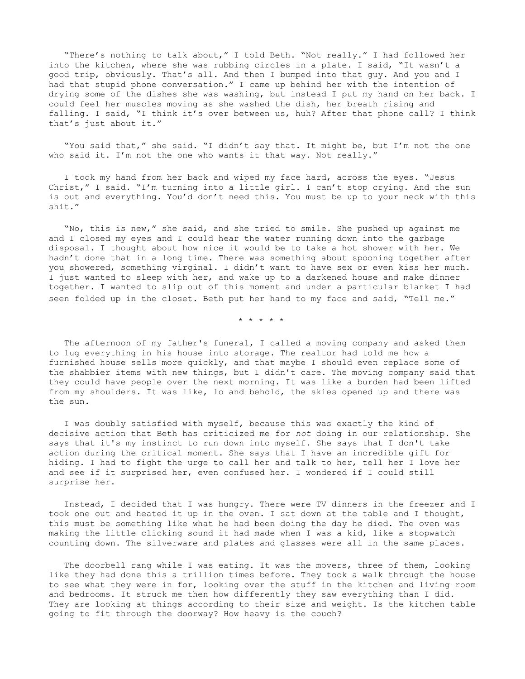"There's nothing to talk about," I told Beth. "Not really." I had followed her into the kitchen, where she was rubbing circles in a plate. I said, "It wasn't a good trip, obviously. That's all. And then I bumped into that guy. And you and I had that stupid phone conversation." I came up behind her with the intention of drying some of the dishes she was washing, but instead I put my hand on her back. I could feel her muscles moving as she washed the dish, her breath rising and falling. I said, "I think it's over between us, huh? After that phone call? I think that's just about it."

"You said that," she said. "I didn't say that. It might be, but I'm not the one who said it. I'm not the one who wants it that way. Not really."

I took my hand from her back and wiped my face hard, across the eyes. "Jesus Christ," I said. "I'm turning into a little girl. I can't stop crying. And the sun is out and everything. You'd don't need this. You must be up to your neck with this shit."

"No, this is new," she said, and she tried to smile. She pushed up against me and I closed my eyes and I could hear the water running down into the garbage disposal. I thought about how nice it would be to take a hot shower with her. We hadn't done that in a long time. There was something about spooning together after you showered, something virginal. I didn't want to have sex or even kiss her much. I just wanted to sleep with her, and wake up to a darkened house and make dinner together. I wanted to slip out of this moment and under a particular blanket I had seen folded up in the closet. Beth put her hand to my face and said, "Tell me."

\* \* \* \* \*

The afternoon of my father's funeral, I called a moving company and asked them to lug everything in his house into storage. The realtor had told me how a furnished house sells more quickly, and that maybe I should even replace some of the shabbier items with new things, but I didn't care. The moving company said that they could have people over the next morning. It was like a burden had been lifted from my shoulders. It was like, lo and behold, the skies opened up and there was the sun.

I was doubly satisfied with myself, because this was exactly the kind of decisive action that Beth has criticized me for *not* doing in our relationship. She says that it's my instinct to run down into myself. She says that I don't take action during the critical moment. She says that I have an incredible gift for hiding. I had to fight the urge to call her and talk to her, tell her I love her and see if it surprised her, even confused her. I wondered if I could still surprise her.

Instead, I decided that I was hungry. There were TV dinners in the freezer and I took one out and heated it up in the oven. I sat down at the table and I thought, this must be something like what he had been doing the day he died. The oven was making the little clicking sound it had made when I was a kid, like a stopwatch counting down. The silverware and plates and glasses were all in the same places.

The doorbell rang while I was eating. It was the movers, three of them, looking like they had done this a trillion times before. They took a walk through the house to see what they were in for, looking over the stuff in the kitchen and living room and bedrooms. It struck me then how differently they saw everything than I did. They are looking at things according to their size and weight. Is the kitchen table going to fit through the doorway? How heavy is the couch?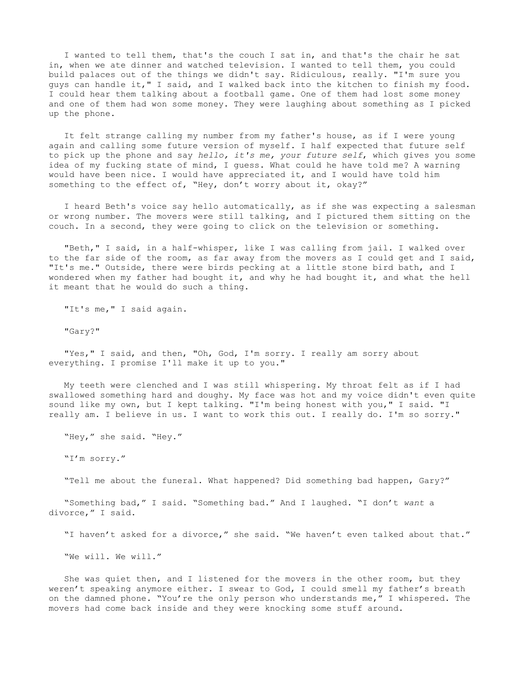I wanted to tell them, that's the couch I sat in, and that's the chair he sat in, when we ate dinner and watched television. I wanted to tell them, you could build palaces out of the things we didn't say. Ridiculous, really. "I'm sure you guys can handle it," I said, and I walked back into the kitchen to finish my food. I could hear them talking about a football game. One of them had lost some money and one of them had won some money. They were laughing about something as I picked up the phone.

It felt strange calling my number from my father's house, as if I were young again and calling some future version of myself. I half expected that future self to pick up the phone and say *hello, it's me, your future self*, which gives you some idea of my fucking state of mind, I guess. What could he have told me? A warning would have been nice. I would have appreciated it, and I would have told him something to the effect of, "Hey, don't worry about it, okay?"

I heard Beth's voice say hello automatically, as if she was expecting a salesman or wrong number. The movers were still talking, and I pictured them sitting on the couch. In a second, they were going to click on the television or something.

"Beth," I said, in a half-whisper, like I was calling from jail. I walked over to the far side of the room, as far away from the movers as I could get and I said, "It's me." Outside, there were birds pecking at a little stone bird bath, and I wondered when my father had bought it, and why he had bought it, and what the hell it meant that he would do such a thing.

"It's me," I said again.

"Gary?"

"Yes," I said, and then, "Oh, God, I'm sorry. I really am sorry about everything. I promise I'll make it up to you."

My teeth were clenched and I was still whispering. My throat felt as if I had swallowed something hard and doughy. My face was hot and my voice didn't even quite sound like my own, but I kept talking. "I'm being honest with you," I said. "I really am. I believe in us. I want to work this out. I really do. I'm so sorry."

"Hey," she said. "Hey."

"I'm sorry."

"Tell me about the funeral. What happened? Did something bad happen, Gary?"

"Something bad," I said. "Something bad." And I laughed. "I don't *want* a divorce," I said.

"I haven't asked for a divorce," she said. "We haven't even talked about that."

"We will. We will."

She was quiet then, and I listened for the movers in the other room, but they weren't speaking anymore either. I swear to God, I could smell my father's breath on the damned phone. "You're the only person who understands me," I whispered. The movers had come back inside and they were knocking some stuff around.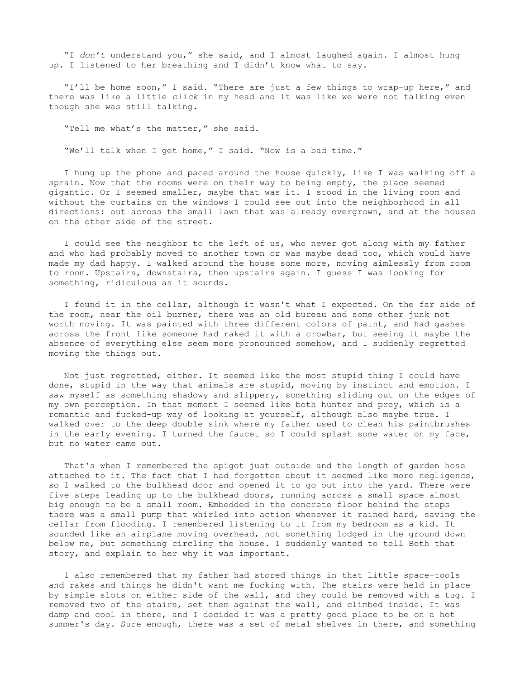"I *don't* understand you," she said, and I almost laughed again. I almost hung up. I listened to her breathing and I didn't know what to say.

"I'll be home soon," I said. "There are just a few things to wrap-up here," and there was like a little *click* in my head and it was like we were not talking even though she was still talking.

"Tell me what's the matter," she said.

"We'll talk when I get home," I said. "Now is a bad time."

I hung up the phone and paced around the house quickly, like I was walking off a sprain. Now that the rooms were on their way to being empty, the place seemed gigantic. Or I seemed smaller, maybe that was it. I stood in the living room and without the curtains on the windows I could see out into the neighborhood in all directions: out across the small lawn that was already overgrown, and at the houses on the other side of the street.

I could see the neighbor to the left of us, who never got along with my father and who had probably moved to another town or was maybe dead too, which would have made my dad happy. I walked around the house some more, moving aimlessly from room to room. Upstairs, downstairs, then upstairs again. I guess I was looking for something, ridiculous as it sounds.

I found it in the cellar, although it wasn't what I expected. On the far side of the room, near the oil burner, there was an old bureau and some other junk not worth moving. It was painted with three different colors of paint, and had gashes across the front like someone had raked it with a crowbar, but seeing it maybe the absence of everything else seem more pronounced somehow, and I suddenly regretted moving the things out.

Not just regretted, either. It seemed like the most stupid thing I could have done, stupid in the way that animals are stupid, moving by instinct and emotion. I saw myself as something shadowy and slippery, something sliding out on the edges of my own perception. In that moment I seemed like both hunter and prey, which is a romantic and fucked-up way of looking at yourself, although also maybe true. I walked over to the deep double sink where my father used to clean his paintbrushes in the early evening. I turned the faucet so I could splash some water on my face, but no water came out.

That's when I remembered the spigot just outside and the length of garden hose attached to it. The fact that I had forgotten about it seemed like more negligence, so I walked to the bulkhead door and opened it to go out into the yard. There were five steps leading up to the bulkhead doors, running across a small space almost big enough to be a small room. Embedded in the concrete floor behind the steps there was a small pump that whirled into action whenever it rained hard, saving the cellar from flooding. I remembered listening to it from my bedroom as a kid. It sounded like an airplane moving overhead, not something lodged in the ground down below me, but something circling the house. I suddenly wanted to tell Beth that story, and explain to her why it was important.

I also remembered that my father had stored things in that little space-tools and rakes and things he didn't want me fucking with. The stairs were held in place by simple slots on either side of the wall, and they could be removed with a tug. I removed two of the stairs, set them against the wall, and climbed inside. It was damp and cool in there, and I decided it was a pretty good place to be on a hot summer's day. Sure enough, there was a set of metal shelves in there, and something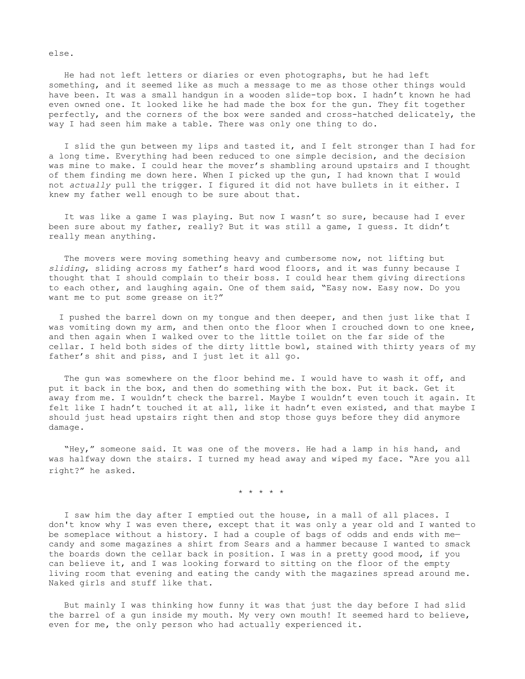He had not left letters or diaries or even photographs, but he had left something, and it seemed like as much a message to me as those other things would have been. It was a small handgun in a wooden slide-top box. I hadn't known he had even owned one. It looked like he had made the box for the gun. They fit together perfectly, and the corners of the box were sanded and cross-hatched delicately, the way I had seen him make a table. There was only one thing to do.

I slid the gun between my lips and tasted it, and I felt stronger than I had for a long time. Everything had been reduced to one simple decision, and the decision was mine to make. I could hear the mover's shambling around upstairs and I thought of them finding me down here. When I picked up the gun, I had known that I would not *actually* pull the trigger. I figured it did not have bullets in it either. I knew my father well enough to be sure about that.

It was like a game I was playing. But now I wasn't so sure, because had I ever been sure about my father, really? But it was still a game, I guess. It didn't really mean anything.

The movers were moving something heavy and cumbersome now, not lifting but *sliding*, sliding across my father's hard wood floors, and it was funny because I thought that I should complain to their boss. I could hear them giving directions to each other, and laughing again. One of them said, "Easy now. Easy now. Do you want me to put some grease on it?"

I pushed the barrel down on my tongue and then deeper, and then just like that I was vomiting down my arm, and then onto the floor when I crouched down to one knee, and then again when I walked over to the little toilet on the far side of the cellar. I held both sides of the dirty little bowl, stained with thirty years of my father's shit and piss, and I just let it all go.

The gun was somewhere on the floor behind me. I would have to wash it off, and put it back in the box, and then do something with the box. Put it back. Get it away from me. I wouldn't check the barrel. Maybe I wouldn't even touch it again. It felt like I hadn't touched it at all, like it hadn't even existed, and that maybe I should just head upstairs right then and stop those guys before they did anymore damage.

"Hey," someone said. It was one of the movers. He had a lamp in his hand, and was halfway down the stairs. I turned my head away and wiped my face. "Are you all right?" he asked.

\* \* \* \* \*

I saw him the day after I emptied out the house, in a mall of all places. I don't know why I was even there, except that it was only a year old and I wanted to be someplace without a history. I had a couple of bags of odds and ends with me candy and some magazines a shirt from Sears and a hammer because I wanted to smack the boards down the cellar back in position. I was in a pretty good mood, if you can believe it, and I was looking forward to sitting on the floor of the empty living room that evening and eating the candy with the magazines spread around me. Naked girls and stuff like that.

But mainly I was thinking how funny it was that just the day before I had slid the barrel of a gun inside my mouth. My very own mouth! It seemed hard to believe, even for me, the only person who had actually experienced it.

else.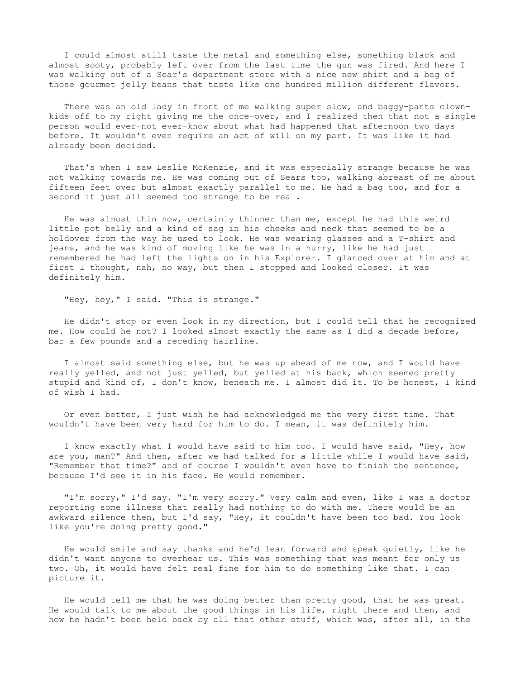I could almost still taste the metal and something else, something black and almost sooty, probably left over from the last time the gun was fired. And here I was walking out of a Sear's department store with a nice new shirt and a bag of those gourmet jelly beans that taste like one hundred million different flavors.

There was an old lady in front of me walking super slow, and baggy-pants clownkids off to my right giving me the once-over, and I realized then that not a single person would ever-not ever-know about what had happened that afternoon two days before. It wouldn't even require an act of will on my part. It was like it had already been decided.

That's when I saw Leslie McKenzie, and it was especially strange because he was not walking towards me. He was coming out of Sears too, walking abreast of me about fifteen feet over but almost exactly parallel to me. He had a bag too, and for a second it just all seemed too strange to be real.

He was almost thin now, certainly thinner than me, except he had this weird little pot belly and a kind of sag in his cheeks and neck that seemed to be a holdover from the way he used to look. He was wearing glasses and a T-shirt and jeans, and he was kind of moving like he was in a hurry, like he had just remembered he had left the lights on in his Explorer. I glanced over at him and at first I thought, nah, no way, but then I stopped and looked closer. It was definitely him.

"Hey, hey," I said. "This is strange."

He didn't stop or even look in my direction, but I could tell that he recognized me. How could he not? I looked almost exactly the same as I did a decade before, bar a few pounds and a receding hairline.

I almost said something else, but he was up ahead of me now, and I would have really yelled, and not just yelled, but yelled at his back, which seemed pretty stupid and kind of, I don't know, beneath me. I almost did it. To be honest, I kind of wish I had.

Or even better, I just wish he had acknowledged me the very first time. That wouldn't have been very hard for him to do. I mean, it was definitely him.

I know exactly what I would have said to him too. I would have said, "Hey, how are you, man?" And then, after we had talked for a little while I would have said, "Remember that time?" and of course I wouldn't even have to finish the sentence, because I'd see it in his face. He would remember.

"I'm sorry," I'd say. "I'm very sorry." Very calm and even, like I was a doctor reporting some illness that really had nothing to do with me. There would be an awkward silence then, but I'd say, "Hey, it couldn't have been too bad. You look like you're doing pretty good."

He would smile and say thanks and he'd lean forward and speak quietly, like he didn't want anyone to overhear us. This was something that was meant for only us two. Oh, it would have felt real fine for him to do something like that. I can picture it.

He would tell me that he was doing better than pretty good, that he was great. He would talk to me about the good things in his life, right there and then, and how he hadn't been held back by all that other stuff, which was, after all, in the